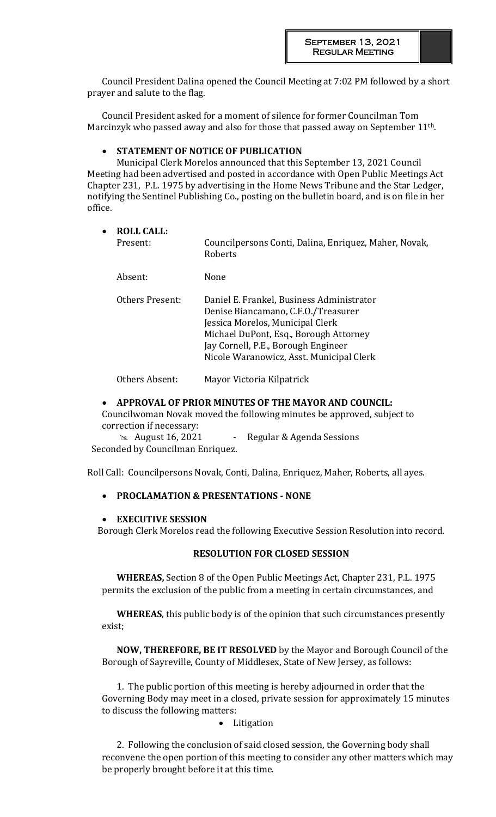Council President Dalina opened the Council Meeting at 7:02 PM followed by a short prayer and salute to the flag.

Council President asked for a moment of silence for former Councilman Tom Marcinzyk who passed away and also for those that passed away on September 11th.

#### **STATEMENT OF NOTICE OF PUBLICATION**

Municipal Clerk Morelos announced that this September 13, 2021 Council Meeting had been advertised and posted in accordance with Open Public Meetings Act Chapter 231, P.L. 1975 by advertising in the Home News Tribune and the Star Ledger, notifying the Sentinel Publishing Co., posting on the bulletin board, and is on file in her office.

#### **ROLL CALL:**

| Present: | Councilpersons Conti, Dalina, Enriquez, Maher, Novak,<br>Roberts |
|----------|------------------------------------------------------------------|
|          |                                                                  |

Absent: None

Others Present: Daniel E. Frankel, Business Administrator Denise Biancamano, C.F.O./Treasurer Jessica Morelos, Municipal Clerk Michael DuPont, Esq., Borough Attorney Jay Cornell, P.E., Borough Engineer Nicole Waranowicz, Asst. Municipal Clerk

Others Absent: Mayor Victoria Kilpatrick

#### **APPROVAL OF PRIOR MINUTES OF THE MAYOR AND COUNCIL:**

Councilwoman Novak moved the following minutes be approved, subject to correction if necessary:

**August 16, 2021** - Regular & Agenda Sessions Seconded by Councilman Enriquez.

Roll Call: Councilpersons Novak, Conti, Dalina, Enriquez, Maher, Roberts, all ayes.

#### **PROCLAMATION & PRESENTATIONS - NONE**

#### **EXECUTIVE SESSION**

Borough Clerk Morelos read the following Executive Session Resolution into record.

#### **RESOLUTION FOR CLOSED SESSION**

**WHEREAS,** Section 8 of the Open Public Meetings Act, Chapter 231, P.L. 1975 permits the exclusion of the public from a meeting in certain circumstances, and

**WHEREAS**, this public body is of the opinion that such circumstances presently exist;

**NOW, THEREFORE, BE IT RESOLVED** by the Mayor and Borough Council of the Borough of Sayreville, County of Middlesex, State of New Jersey, as follows:

1. The public portion of this meeting is hereby adjourned in order that the Governing Body may meet in a closed, private session for approximately 15 minutes to discuss the following matters:

#### • Litigation

2. Following the conclusion of said closed session, the Governing body shall reconvene the open portion of this meeting to consider any other matters which may be properly brought before it at this time.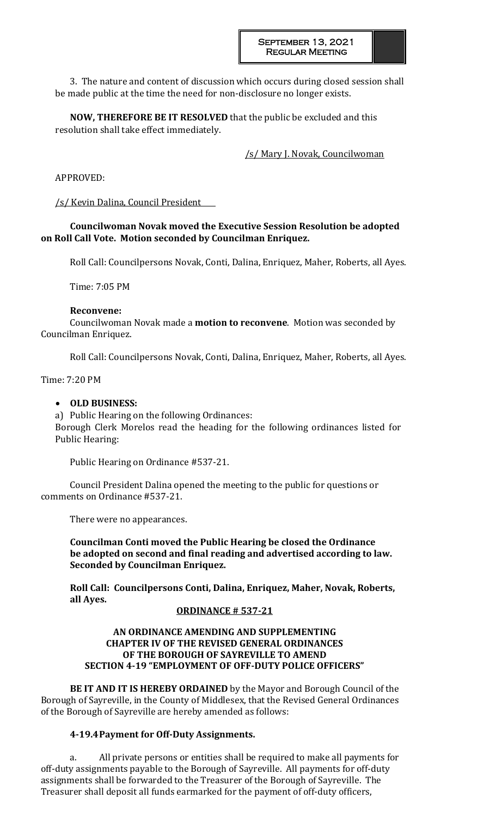3. The nature and content of discussion which occurs during closed session shall be made public at the time the need for non-disclosure no longer exists.

**NOW, THEREFORE BE IT RESOLVED** that the public be excluded and this resolution shall take effect immediately.

/s/ Mary J. Novak, Councilwoman

APPROVED:

/s/ Kevin Dalina, Council President

**Councilwoman Novak moved the Executive Session Resolution be adopted on Roll Call Vote. Motion seconded by Councilman Enriquez.**

Roll Call: Councilpersons Novak, Conti, Dalina, Enriquez, Maher, Roberts, all Ayes.

Time: 7:05 PM

### **Reconvene:**

Councilwoman Novak made a **motion to reconvene**. Motion was seconded by Councilman Enriquez.

Roll Call: Councilpersons Novak, Conti, Dalina, Enriquez, Maher, Roberts, all Ayes.

Time: 7:20 PM

## **OLD BUSINESS:**

a) Public Hearing on the following Ordinances: Borough Clerk Morelos read the heading for the following ordinances listed for Public Hearing:

Public Hearing on Ordinance #537-21.

Council President Dalina opened the meeting to the public for questions or comments on Ordinance #537-21.

There were no appearances.

**Councilman Conti moved the Public Hearing be closed the Ordinance be adopted on second and final reading and advertised according to law. Seconded by Councilman Enriquez.** 

**Roll Call: Councilpersons Conti, Dalina, Enriquez, Maher, Novak, Roberts, all Ayes.**

### **ORDINANCE # 537-21**

## **AN ORDINANCE AMENDING AND SUPPLEMENTING CHAPTER IV OF THE REVISED GENERAL ORDINANCES OF THE BOROUGH OF SAYREVILLE TO AMEND SECTION 4-19 "EMPLOYMENT OF OFF-DUTY POLICE OFFICERS"**

**BE IT AND IT IS HEREBY ORDAINED** by the Mayor and Borough Council of the Borough of Sayreville, in the County of Middlesex, that the Revised General Ordinances of the Borough of Sayreville are hereby amended as follows:

### **4-19.4Payment for Off-Duty Assignments.**

a. All private persons or entities shall be required to make all payments for off-duty assignments payable to the Borough of Sayreville. All payments for off-duty assignments shall be forwarded to the Treasurer of the Borough of Sayreville. The Treasurer shall deposit all funds earmarked for the payment of off-duty officers,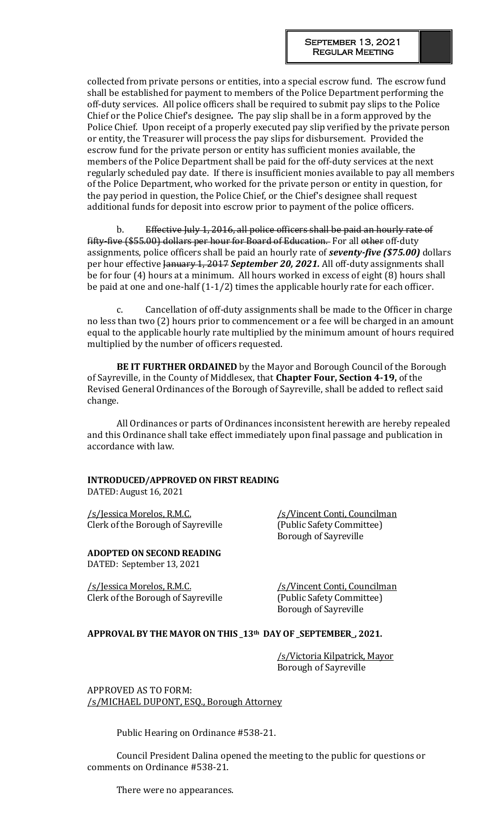collected from private persons or entities, into a special escrow fund. The escrow fund shall be established for payment to members of the Police Department performing the off-duty services. All police officers shall be required to submit pay slips to the Police Chief or the Police Chief's designee*.* The pay slip shall be in a form approved by the Police Chief. Upon receipt of a properly executed pay slip verified by the private person or entity, the Treasurer will process the pay slips for disbursement. Provided the escrow fund for the private person or entity has sufficient monies available, the members of the Police Department shall be paid for the off-duty services at the next regularly scheduled pay date. If there is insufficient monies available to pay all members of the Police Department, who worked for the private person or entity in question, for the pay period in question, the Police Chief, or the Chief's designee shall request additional funds for deposit into escrow prior to payment of the police officers.

b. Effective July 1, 2016, all police officers shall be paid an hourly rate of fifty-five (\$55.00) dollars per hour for Board of Education. For all other off-duty assignments, police officers shall be paid an hourly rate of *seventy-five (\$75.00)* dollars per hour effective January 1, 2017 *September 20, 2021.* All off-duty assignments shall be for four (4) hours at a minimum. All hours worked in excess of eight (8) hours shall be paid at one and one-half (1-1/2) times the applicable hourly rate for each officer.

c. Cancellation of off-duty assignments shall be made to the Officer in charge no less than two (2) hours prior to commencement or a fee will be charged in an amount equal to the applicable hourly rate multiplied by the minimum amount of hours required multiplied by the number of officers requested.

**BE IT FURTHER ORDAINED** by the Mayor and Borough Council of the Borough of Sayreville, in the County of Middlesex, that **Chapter Four, Section 4-19,** of the Revised General Ordinances of the Borough of Sayreville, shall be added to reflect said change.

All Ordinances or parts of Ordinances inconsistent herewith are hereby repealed and this Ordinance shall take effect immediately upon final passage and publication in accordance with law.

# **INTRODUCED/APPROVED ON FIRST READING**

DATED: August 16, 2021

/s/Jessica Morelos, R.M.C. /s/Vincent Conti, Councilman Clerk of the Borough of Sayreville (Public Safety Committee)

**ADOPTED ON SECOND READING** DATED: September 13, 2021

/s/Jessica Morelos, R.M.C. /s/Vincent Conti, Councilman Clerk of the Borough of Sayreville (Public Safety Committee)

Borough of Sayreville

Borough of Sayreville

### **APPROVAL BY THE MAYOR ON THIS \_13th DAY OF \_SEPTEMBER\_, 2021.**

/s/Victoria Kilpatrick, Mayor Borough of Sayreville

APPROVED AS TO FORM: /s/MICHAEL DUPONT, ESQ., Borough Attorney

Public Hearing on Ordinance #538-21.

Council President Dalina opened the meeting to the public for questions or comments on Ordinance #538-21.

There were no appearances.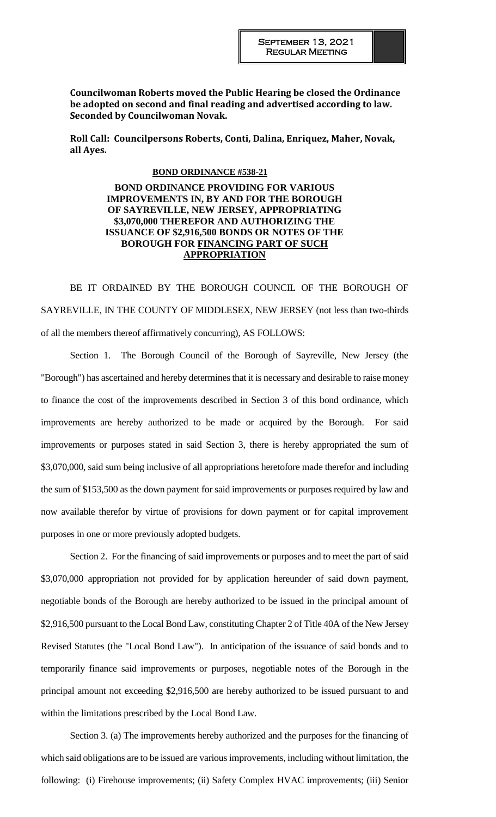**Councilwoman Roberts moved the Public Hearing be closed the Ordinance be adopted on second and final reading and advertised according to law. Seconded by Councilwoman Novak.** 

**Roll Call: Councilpersons Roberts, Conti, Dalina, Enriquez, Maher, Novak, all Ayes.**

#### **BOND ORDINANCE #538-21**

**BOND ORDINANCE PROVIDING FOR VARIOUS IMPROVEMENTS IN, BY AND FOR THE BOROUGH OF SAYREVILLE, NEW JERSEY, APPROPRIATING \$3,070,000 THEREFOR AND AUTHORIZING THE ISSUANCE OF \$2,916,500 BONDS OR NOTES OF THE BOROUGH FOR FINANCING PART OF SUCH APPROPRIATION**

BE IT ORDAINED BY THE BOROUGH COUNCIL OF THE BOROUGH OF SAYREVILLE, IN THE COUNTY OF MIDDLESEX, NEW JERSEY (not less than two-thirds of all the members thereof affirmatively concurring), AS FOLLOWS:

Section 1. The Borough Council of the Borough of Sayreville, New Jersey (the "Borough") has ascertained and hereby determines that it is necessary and desirable to raise money to finance the cost of the improvements described in Section 3 of this bond ordinance, which improvements are hereby authorized to be made or acquired by the Borough. For said improvements or purposes stated in said Section 3, there is hereby appropriated the sum of \$3,070,000, said sum being inclusive of all appropriations heretofore made therefor and including the sum of \$153,500 as the down payment for said improvements or purposes required by law and now available therefor by virtue of provisions for down payment or for capital improvement purposes in one or more previously adopted budgets.

Section 2. For the financing of said improvements or purposes and to meet the part of said \$3,070,000 appropriation not provided for by application hereunder of said down payment, negotiable bonds of the Borough are hereby authorized to be issued in the principal amount of \$2,916,500 pursuant to the Local Bond Law, constituting Chapter 2 of Title 40A of the New Jersey Revised Statutes (the "Local Bond Law"). In anticipation of the issuance of said bonds and to temporarily finance said improvements or purposes, negotiable notes of the Borough in the principal amount not exceeding \$2,916,500 are hereby authorized to be issued pursuant to and within the limitations prescribed by the Local Bond Law.

Section 3. (a) The improvements hereby authorized and the purposes for the financing of which said obligations are to be issued are various improvements, including without limitation, the following: (i) Firehouse improvements; (ii) Safety Complex HVAC improvements; (iii) Senior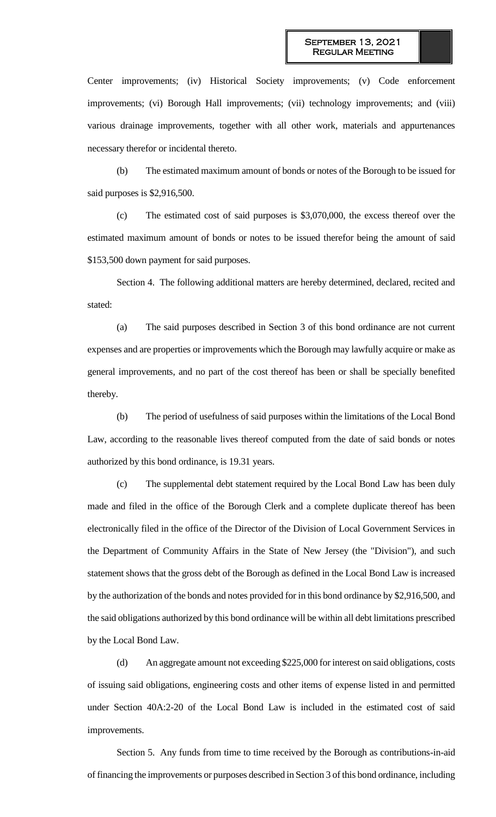Center improvements; (iv) Historical Society improvements; (v) Code enforcement improvements; (vi) Borough Hall improvements; (vii) technology improvements; and (viii) various drainage improvements, together with all other work, materials and appurtenances necessary therefor or incidental thereto.

(b) The estimated maximum amount of bonds or notes of the Borough to be issued for said purposes is \$2,916,500.

(c) The estimated cost of said purposes is \$3,070,000, the excess thereof over the estimated maximum amount of bonds or notes to be issued therefor being the amount of said \$153,500 down payment for said purposes.

Section 4. The following additional matters are hereby determined, declared, recited and stated:

(a) The said purposes described in Section 3 of this bond ordinance are not current expenses and are properties or improvements which the Borough may lawfully acquire or make as general improvements, and no part of the cost thereof has been or shall be specially benefited thereby.

(b) The period of usefulness of said purposes within the limitations of the Local Bond Law, according to the reasonable lives thereof computed from the date of said bonds or notes authorized by this bond ordinance, is 19.31 years.

(c) The supplemental debt statement required by the Local Bond Law has been duly made and filed in the office of the Borough Clerk and a complete duplicate thereof has been electronically filed in the office of the Director of the Division of Local Government Services in the Department of Community Affairs in the State of New Jersey (the "Division"), and such statement shows that the gross debt of the Borough as defined in the Local Bond Law is increased by the authorization of the bonds and notes provided for in this bond ordinance by \$2,916,500, and the said obligations authorized by this bond ordinance will be within all debt limitations prescribed by the Local Bond Law.

(d) An aggregate amount not exceeding \$225,000 for interest on said obligations, costs of issuing said obligations, engineering costs and other items of expense listed in and permitted under Section 40A:2-20 of the Local Bond Law is included in the estimated cost of said improvements.

Section 5. Any funds from time to time received by the Borough as contributions-in-aid of financing the improvements or purposes described in Section 3 of this bond ordinance, including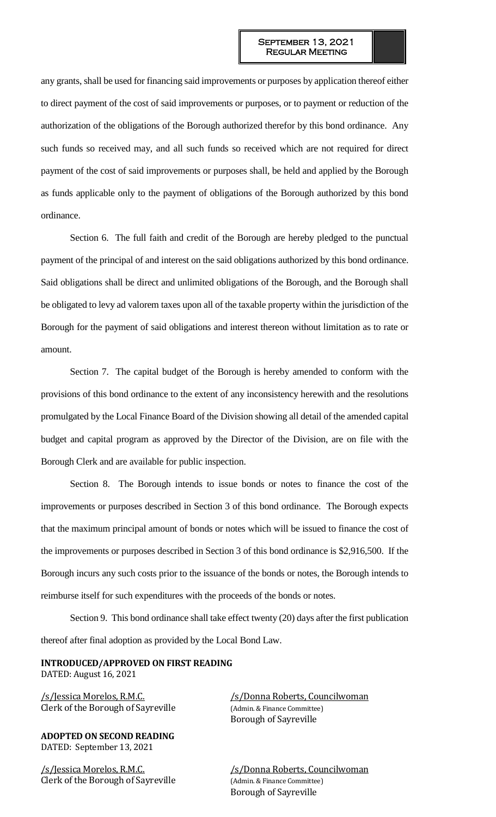any grants, shall be used for financing said improvements or purposes by application thereof either to direct payment of the cost of said improvements or purposes, or to payment or reduction of the authorization of the obligations of the Borough authorized therefor by this bond ordinance. Any such funds so received may, and all such funds so received which are not required for direct payment of the cost of said improvements or purposes shall, be held and applied by the Borough as funds applicable only to the payment of obligations of the Borough authorized by this bond ordinance.

Section 6. The full faith and credit of the Borough are hereby pledged to the punctual payment of the principal of and interest on the said obligations authorized by this bond ordinance. Said obligations shall be direct and unlimited obligations of the Borough, and the Borough shall be obligated to levy ad valorem taxes upon all of the taxable property within the jurisdiction of the Borough for the payment of said obligations and interest thereon without limitation as to rate or amount.

Section 7. The capital budget of the Borough is hereby amended to conform with the provisions of this bond ordinance to the extent of any inconsistency herewith and the resolutions promulgated by the Local Finance Board of the Division showing all detail of the amended capital budget and capital program as approved by the Director of the Division, are on file with the Borough Clerk and are available for public inspection.

Section 8. The Borough intends to issue bonds or notes to finance the cost of the improvements or purposes described in Section 3 of this bond ordinance. The Borough expects that the maximum principal amount of bonds or notes which will be issued to finance the cost of the improvements or purposes described in Section 3 of this bond ordinance is \$2,916,500. If the Borough incurs any such costs prior to the issuance of the bonds or notes, the Borough intends to reimburse itself for such expenditures with the proceeds of the bonds or notes.

Section 9. This bond ordinance shall take effect twenty (20) days after the first publication thereof after final adoption as provided by the Local Bond Law.

#### **INTRODUCED/APPROVED ON FIRST READING** DATED: August 16, 2021

Clerk of the Borough of Sayreville (Admin. & Finance Committee)

**ADOPTED ON SECOND READING** DATED: September 13, 2021

/s/Jessica Morelos, R.M.C. /s/Donna Roberts, Councilwoman Clerk of the Borough of Sayreville (Admin. & Finance Committee)

/s/Jessica Morelos, R.M.C. /s/Donna Roberts, Councilwoman Borough of Sayreville

Borough of Sayreville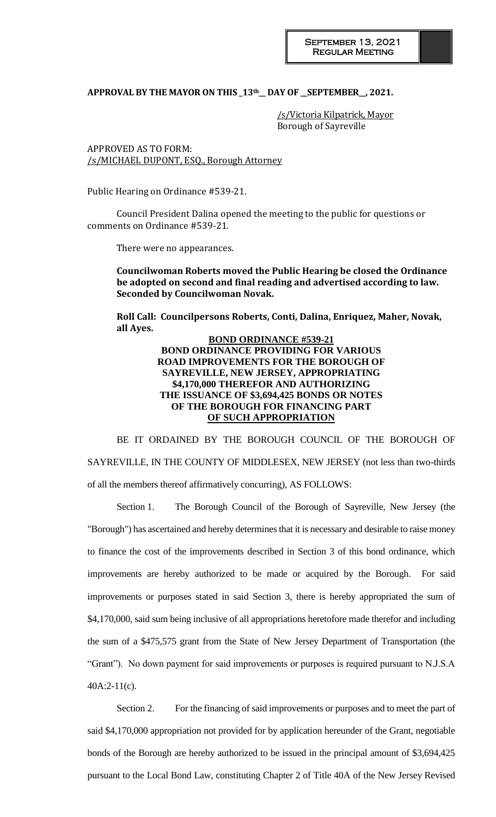# **APPROVAL BY THE MAYOR ON THIS \_13th\_\_ DAY OF \_\_SEPTEMBER\_\_, 2021.**

/s/Victoria Kilpatrick, Mayor Borough of Sayreville

APPROVED AS TO FORM: /s/MICHAEL DUPONT, ESQ., Borough Attorney

Public Hearing on Ordinance #539-21.

Council President Dalina opened the meeting to the public for questions or comments on Ordinance #539-21.

There were no appearances.

**Councilwoman Roberts moved the Public Hearing be closed the Ordinance be adopted on second and final reading and advertised according to law. Seconded by Councilwoman Novak.** 

**Roll Call: Councilpersons Roberts, Conti, Dalina, Enriquez, Maher, Novak, all Ayes.**

#### **BOND ORDINANCE #539-21 BOND ORDINANCE PROVIDING FOR VARIOUS ROAD IMPROVEMENTS FOR THE BOROUGH OF SAYREVILLE, NEW JERSEY, APPROPRIATING \$4,170,000 THEREFOR AND AUTHORIZING THE ISSUANCE OF \$3,694,425 BONDS OR NOTES OF THE BOROUGH FOR FINANCING PART OF SUCH APPROPRIATION**

BE IT ORDAINED BY THE BOROUGH COUNCIL OF THE BOROUGH OF SAYREVILLE, IN THE COUNTY OF MIDDLESEX, NEW JERSEY (not less than two-thirds of all the members thereof affirmatively concurring), AS FOLLOWS:

Section 1. The Borough Council of the Borough of Sayreville, New Jersey (the "Borough") has ascertained and hereby determines that it is necessary and desirable to raise money to finance the cost of the improvements described in Section 3 of this bond ordinance, which improvements are hereby authorized to be made or acquired by the Borough. For said improvements or purposes stated in said Section 3, there is hereby appropriated the sum of \$4,170,000, said sum being inclusive of all appropriations heretofore made therefor and including the sum of a \$475,575 grant from the State of New Jersey Department of Transportation (the "Grant"). No down payment for said improvements or purposes is required pursuant to N.J.S.A  $40A:2-11(c)$ .

Section 2. For the financing of said improvements or purposes and to meet the part of said \$4,170,000 appropriation not provided for by application hereunder of the Grant, negotiable bonds of the Borough are hereby authorized to be issued in the principal amount of \$3,694,425 pursuant to the Local Bond Law, constituting Chapter 2 of Title 40A of the New Jersey Revised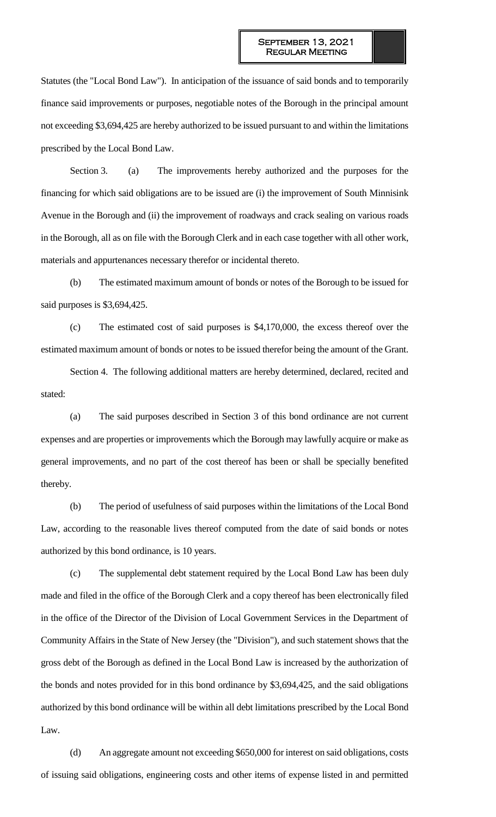Statutes (the "Local Bond Law"). In anticipation of the issuance of said bonds and to temporarily finance said improvements or purposes, negotiable notes of the Borough in the principal amount not exceeding \$3,694,425 are hereby authorized to be issued pursuant to and within the limitations prescribed by the Local Bond Law.

Section 3. (a) The improvements hereby authorized and the purposes for the financing for which said obligations are to be issued are (i) the improvement of South Minnisink Avenue in the Borough and (ii) the improvement of roadways and crack sealing on various roads in the Borough, all as on file with the Borough Clerk and in each case together with all other work, materials and appurtenances necessary therefor or incidental thereto.

(b) The estimated maximum amount of bonds or notes of the Borough to be issued for said purposes is \$3,694,425.

(c) The estimated cost of said purposes is \$4,170,000, the excess thereof over the estimated maximum amount of bonds or notes to be issued therefor being the amount of the Grant.

Section 4. The following additional matters are hereby determined, declared, recited and stated:

(a) The said purposes described in Section 3 of this bond ordinance are not current expenses and are properties or improvements which the Borough may lawfully acquire or make as general improvements, and no part of the cost thereof has been or shall be specially benefited thereby.

(b) The period of usefulness of said purposes within the limitations of the Local Bond Law, according to the reasonable lives thereof computed from the date of said bonds or notes authorized by this bond ordinance, is 10 years.

(c) The supplemental debt statement required by the Local Bond Law has been duly made and filed in the office of the Borough Clerk and a copy thereof has been electronically filed in the office of the Director of the Division of Local Government Services in the Department of Community Affairs in the State of New Jersey (the "Division"), and such statement shows that the gross debt of the Borough as defined in the Local Bond Law is increased by the authorization of the bonds and notes provided for in this bond ordinance by \$3,694,425, and the said obligations authorized by this bond ordinance will be within all debt limitations prescribed by the Local Bond Law.

(d) An aggregate amount not exceeding \$650,000 for interest on said obligations, costs of issuing said obligations, engineering costs and other items of expense listed in and permitted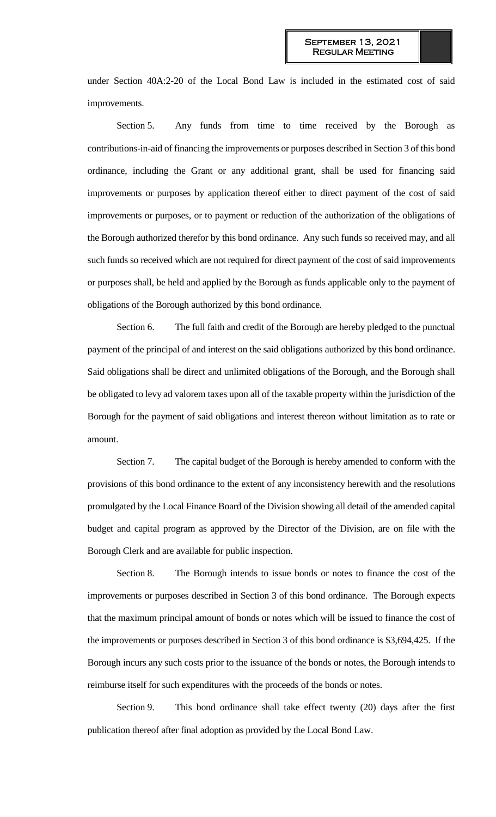under Section 40A:2-20 of the Local Bond Law is included in the estimated cost of said improvements.

Section 5. Any funds from time to time received by the Borough as contributions-in-aid of financing the improvements or purposes described in Section 3 of this bond ordinance, including the Grant or any additional grant, shall be used for financing said improvements or purposes by application thereof either to direct payment of the cost of said improvements or purposes, or to payment or reduction of the authorization of the obligations of the Borough authorized therefor by this bond ordinance. Any such funds so received may, and all such funds so received which are not required for direct payment of the cost of said improvements or purposes shall, be held and applied by the Borough as funds applicable only to the payment of obligations of the Borough authorized by this bond ordinance.

Section 6. The full faith and credit of the Borough are hereby pledged to the punctual payment of the principal of and interest on the said obligations authorized by this bond ordinance. Said obligations shall be direct and unlimited obligations of the Borough, and the Borough shall be obligated to levy ad valorem taxes upon all of the taxable property within the jurisdiction of the Borough for the payment of said obligations and interest thereon without limitation as to rate or amount.

Section 7. The capital budget of the Borough is hereby amended to conform with the provisions of this bond ordinance to the extent of any inconsistency herewith and the resolutions promulgated by the Local Finance Board of the Division showing all detail of the amended capital budget and capital program as approved by the Director of the Division, are on file with the Borough Clerk and are available for public inspection.

Section 8. The Borough intends to issue bonds or notes to finance the cost of the improvements or purposes described in Section 3 of this bond ordinance. The Borough expects that the maximum principal amount of bonds or notes which will be issued to finance the cost of the improvements or purposes described in Section 3 of this bond ordinance is \$3,694,425. If the Borough incurs any such costs prior to the issuance of the bonds or notes, the Borough intends to reimburse itself for such expenditures with the proceeds of the bonds or notes.

Section 9. This bond ordinance shall take effect twenty (20) days after the first publication thereof after final adoption as provided by the Local Bond Law.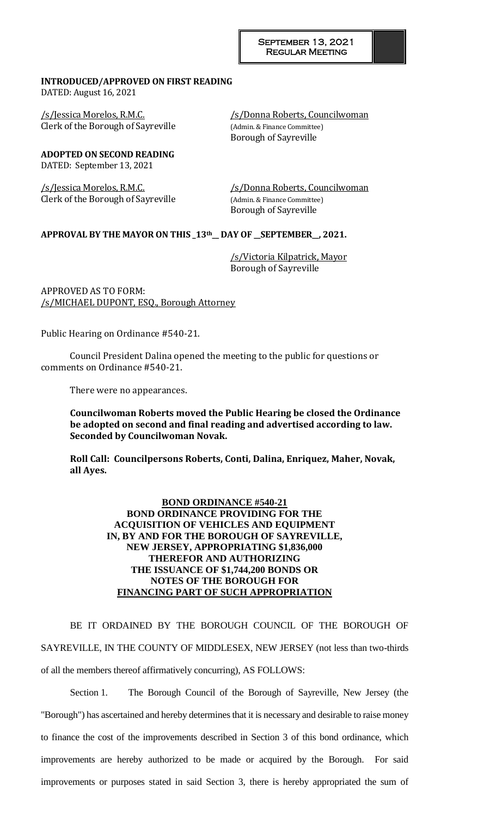#### **INTRODUCED/APPROVED ON FIRST READING** DATED: August 16, 2021

/s/Jessica Morelos, R.M.C. /s/Donna Roberts, Councilwoman Clerk of the Borough of Sayreville (Admin. & Finance Committee)

**ADOPTED ON SECOND READING** DATED: September 13, 2021

Clerk of the Borough of Sayreville (Admin. & Finance Committee)

Borough of Sayreville

/s/Jessica Morelos, R.M.C. /s/Donna Roberts, Councilwoman Borough of Sayreville

# **APPROVAL BY THE MAYOR ON THIS \_13th\_\_ DAY OF \_\_SEPTEMBER\_\_, 2021.**

/s/Victoria Kilpatrick, Mayor Borough of Sayreville

APPROVED AS TO FORM: /s/MICHAEL DUPONT, ESQ., Borough Attorney

Public Hearing on Ordinance #540-21.

Council President Dalina opened the meeting to the public for questions or comments on Ordinance #540-21.

There were no appearances.

**Councilwoman Roberts moved the Public Hearing be closed the Ordinance be adopted on second and final reading and advertised according to law. Seconded by Councilwoman Novak.** 

**Roll Call: Councilpersons Roberts, Conti, Dalina, Enriquez, Maher, Novak, all Ayes.**

### **BOND ORDINANCE #540-21 BOND ORDINANCE PROVIDING FOR THE ACQUISITION OF VEHICLES AND EQUIPMENT IN, BY AND FOR THE BOROUGH OF SAYREVILLE, NEW JERSEY, APPROPRIATING \$1,836,000 THEREFOR AND AUTHORIZING THE ISSUANCE OF \$1,744,200 BONDS OR NOTES OF THE BOROUGH FOR FINANCING PART OF SUCH APPROPRIATION**

BE IT ORDAINED BY THE BOROUGH COUNCIL OF THE BOROUGH OF SAYREVILLE, IN THE COUNTY OF MIDDLESEX, NEW JERSEY (not less than two-thirds of all the members thereof affirmatively concurring), AS FOLLOWS:

Section 1. The Borough Council of the Borough of Sayreville, New Jersey (the "Borough") has ascertained and hereby determines that it is necessary and desirable to raise money to finance the cost of the improvements described in Section 3 of this bond ordinance, which improvements are hereby authorized to be made or acquired by the Borough. For said improvements or purposes stated in said Section 3, there is hereby appropriated the sum of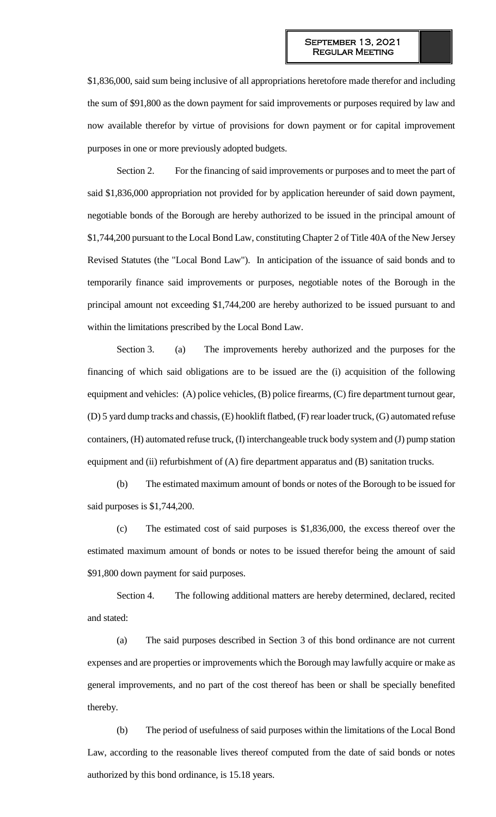\$1,836,000, said sum being inclusive of all appropriations heretofore made therefor and including the sum of \$91,800 as the down payment for said improvements or purposes required by law and now available therefor by virtue of provisions for down payment or for capital improvement purposes in one or more previously adopted budgets.

Section 2. For the financing of said improvements or purposes and to meet the part of said \$1,836,000 appropriation not provided for by application hereunder of said down payment, negotiable bonds of the Borough are hereby authorized to be issued in the principal amount of \$1,744,200 pursuant to the Local Bond Law, constituting Chapter 2 of Title 40A of the New Jersey Revised Statutes (the "Local Bond Law"). In anticipation of the issuance of said bonds and to temporarily finance said improvements or purposes, negotiable notes of the Borough in the principal amount not exceeding \$1,744,200 are hereby authorized to be issued pursuant to and within the limitations prescribed by the Local Bond Law.

Section 3. (a) The improvements hereby authorized and the purposes for the financing of which said obligations are to be issued are the (i) acquisition of the following equipment and vehicles: (A) police vehicles, (B) police firearms, (C) fire department turnout gear, (D) 5 yard dump tracks and chassis, (E) hooklift flatbed, (F) rear loader truck, (G) automated refuse containers, (H) automated refuse truck, (I) interchangeable truck body system and (J) pump station equipment and (ii) refurbishment of (A) fire department apparatus and (B) sanitation trucks.

(b) The estimated maximum amount of bonds or notes of the Borough to be issued for said purposes is \$1,744,200.

(c) The estimated cost of said purposes is \$1,836,000, the excess thereof over the estimated maximum amount of bonds or notes to be issued therefor being the amount of said \$91,800 down payment for said purposes.

Section 4. The following additional matters are hereby determined, declared, recited and stated:

(a) The said purposes described in Section 3 of this bond ordinance are not current expenses and are properties or improvements which the Borough may lawfully acquire or make as general improvements, and no part of the cost thereof has been or shall be specially benefited thereby.

(b) The period of usefulness of said purposes within the limitations of the Local Bond Law, according to the reasonable lives thereof computed from the date of said bonds or notes authorized by this bond ordinance, is 15.18 years.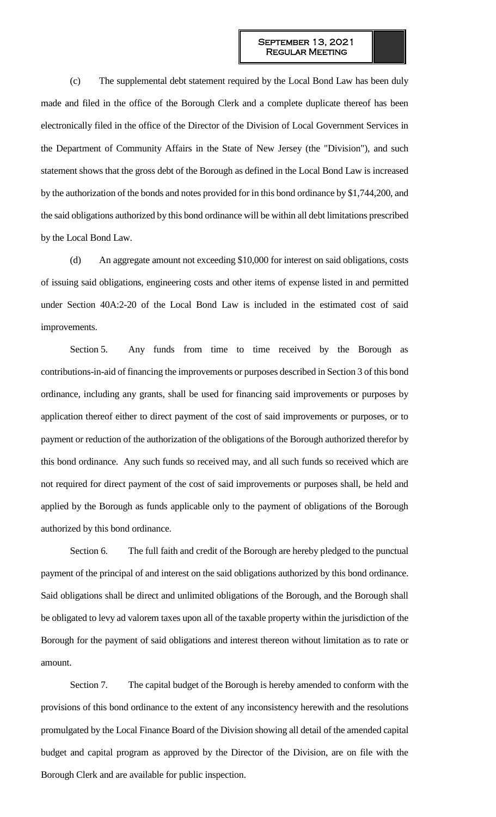(c) The supplemental debt statement required by the Local Bond Law has been duly made and filed in the office of the Borough Clerk and a complete duplicate thereof has been electronically filed in the office of the Director of the Division of Local Government Services in the Department of Community Affairs in the State of New Jersey (the "Division"), and such statement shows that the gross debt of the Borough as defined in the Local Bond Law is increased by the authorization of the bonds and notes provided for in this bond ordinance by \$1,744,200, and the said obligations authorized by this bond ordinance will be within all debt limitations prescribed by the Local Bond Law.

(d) An aggregate amount not exceeding \$10,000 for interest on said obligations, costs of issuing said obligations, engineering costs and other items of expense listed in and permitted under Section 40A:2-20 of the Local Bond Law is included in the estimated cost of said improvements.

Section 5. Any funds from time to time received by the Borough as contributions-in-aid of financing the improvements or purposes described in Section 3 of this bond ordinance, including any grants, shall be used for financing said improvements or purposes by application thereof either to direct payment of the cost of said improvements or purposes, or to payment or reduction of the authorization of the obligations of the Borough authorized therefor by this bond ordinance. Any such funds so received may, and all such funds so received which are not required for direct payment of the cost of said improvements or purposes shall, be held and applied by the Borough as funds applicable only to the payment of obligations of the Borough authorized by this bond ordinance.

Section 6. The full faith and credit of the Borough are hereby pledged to the punctual payment of the principal of and interest on the said obligations authorized by this bond ordinance. Said obligations shall be direct and unlimited obligations of the Borough, and the Borough shall be obligated to levy ad valorem taxes upon all of the taxable property within the jurisdiction of the Borough for the payment of said obligations and interest thereon without limitation as to rate or amount.

Section 7. The capital budget of the Borough is hereby amended to conform with the provisions of this bond ordinance to the extent of any inconsistency herewith and the resolutions promulgated by the Local Finance Board of the Division showing all detail of the amended capital budget and capital program as approved by the Director of the Division, are on file with the Borough Clerk and are available for public inspection.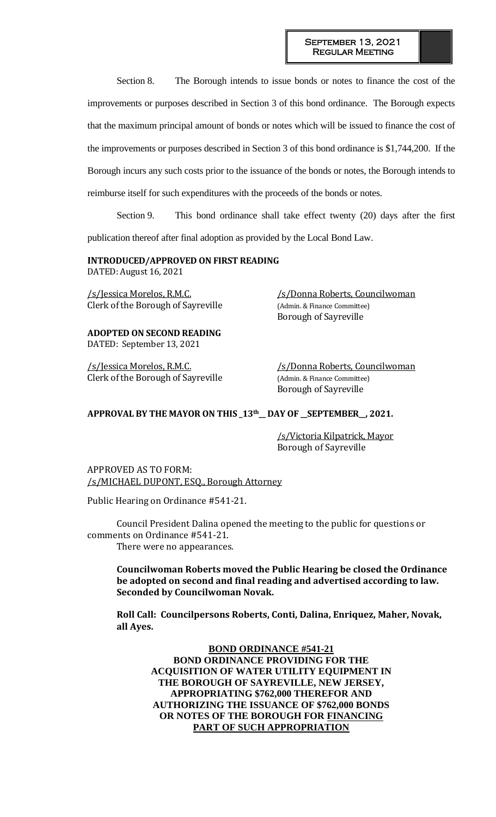Section 8. The Borough intends to issue bonds or notes to finance the cost of the improvements or purposes described in Section 3 of this bond ordinance. The Borough expects that the maximum principal amount of bonds or notes which will be issued to finance the cost of the improvements or purposes described in Section 3 of this bond ordinance is \$1,744,200. If the Borough incurs any such costs prior to the issuance of the bonds or notes, the Borough intends to reimburse itself for such expenditures with the proceeds of the bonds or notes.

Section 9. This bond ordinance shall take effect twenty (20) days after the first publication thereof after final adoption as provided by the Local Bond Law.

### **INTRODUCED/APPROVED ON FIRST READING**

DATED: August 16, 2021

Clerk of the Borough of Sayreville (Admin. & Finance Committee)

**ADOPTED ON SECOND READING** DATED: September 13, 2021

Clerk of the Borough of Sayreville (Admin. & Finance Committee)

/s/Jessica Morelos, R.M.C. /s/Donna Roberts, Councilwoman Borough of Sayreville

/s/Jessica Morelos, R.M.C. /s/Donna Roberts, Councilwoman Borough of Sayreville

## **APPROVAL BY THE MAYOR ON THIS \_13th\_\_ DAY OF \_\_SEPTEMBER\_\_, 2021.**

/s/Victoria Kilpatrick, Mayor Borough of Sayreville

APPROVED AS TO FORM: /s/MICHAEL DUPONT, ESQ., Borough Attorney

Public Hearing on Ordinance #541-21.

Council President Dalina opened the meeting to the public for questions or comments on Ordinance #541-21.

There were no appearances.

**Councilwoman Roberts moved the Public Hearing be closed the Ordinance be adopted on second and final reading and advertised according to law. Seconded by Councilwoman Novak.** 

**Roll Call: Councilpersons Roberts, Conti, Dalina, Enriquez, Maher, Novak, all Ayes.**

> **BOND ORDINANCE #541-21 BOND ORDINANCE PROVIDING FOR THE ACQUISITION OF WATER UTILITY EQUIPMENT IN THE BOROUGH OF SAYREVILLE, NEW JERSEY, APPROPRIATING \$762,000 THEREFOR AND AUTHORIZING THE ISSUANCE OF \$762,000 BONDS OR NOTES OF THE BOROUGH FOR FINANCING PART OF SUCH APPROPRIATION**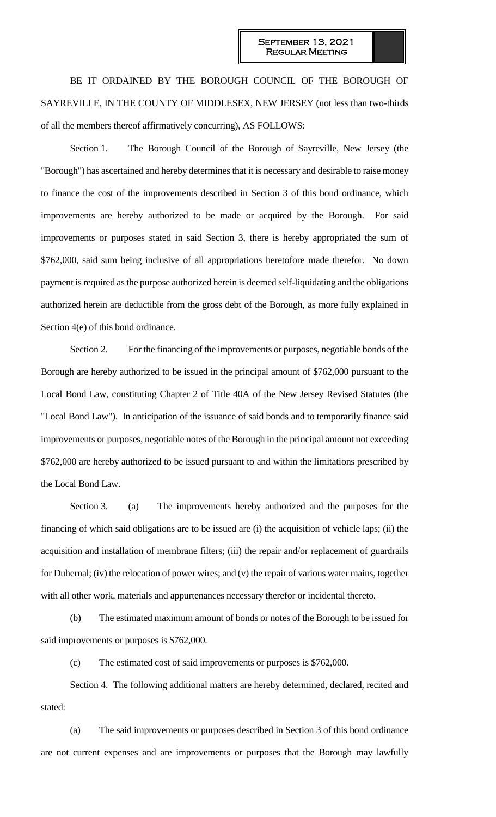BE IT ORDAINED BY THE BOROUGH COUNCIL OF THE BOROUGH OF SAYREVILLE, IN THE COUNTY OF MIDDLESEX, NEW JERSEY (not less than two-thirds of all the members thereof affirmatively concurring), AS FOLLOWS:

Section 1. The Borough Council of the Borough of Sayreville, New Jersey (the "Borough") has ascertained and hereby determines that it is necessary and desirable to raise money to finance the cost of the improvements described in Section 3 of this bond ordinance, which improvements are hereby authorized to be made or acquired by the Borough. For said improvements or purposes stated in said Section 3, there is hereby appropriated the sum of \$762,000, said sum being inclusive of all appropriations heretofore made therefor. No down payment is required as the purpose authorized herein is deemed self-liquidating and the obligations authorized herein are deductible from the gross debt of the Borough, as more fully explained in Section 4(e) of this bond ordinance.

Section 2. For the financing of the improvements or purposes, negotiable bonds of the Borough are hereby authorized to be issued in the principal amount of \$762,000 pursuant to the Local Bond Law, constituting Chapter 2 of Title 40A of the New Jersey Revised Statutes (the "Local Bond Law"). In anticipation of the issuance of said bonds and to temporarily finance said improvements or purposes, negotiable notes of the Borough in the principal amount not exceeding \$762,000 are hereby authorized to be issued pursuant to and within the limitations prescribed by the Local Bond Law.

Section 3. (a) The improvements hereby authorized and the purposes for the financing of which said obligations are to be issued are (i) the acquisition of vehicle laps; (ii) the acquisition and installation of membrane filters; (iii) the repair and/or replacement of guardrails for Duhernal; (iv) the relocation of power wires; and (v) the repair of various water mains, together with all other work, materials and appurtenances necessary therefor or incidental thereto.

(b) The estimated maximum amount of bonds or notes of the Borough to be issued for said improvements or purposes is \$762,000.

(c) The estimated cost of said improvements or purposes is \$762,000.

Section 4. The following additional matters are hereby determined, declared, recited and stated:

(a) The said improvements or purposes described in Section 3 of this bond ordinance are not current expenses and are improvements or purposes that the Borough may lawfully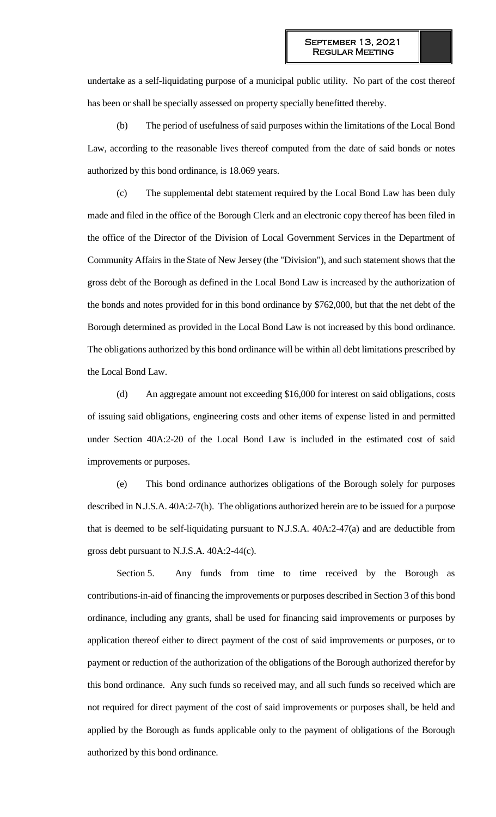undertake as a self-liquidating purpose of a municipal public utility. No part of the cost thereof has been or shall be specially assessed on property specially benefitted thereby.

(b) The period of usefulness of said purposes within the limitations of the Local Bond Law, according to the reasonable lives thereof computed from the date of said bonds or notes authorized by this bond ordinance, is 18.069 years.

(c) The supplemental debt statement required by the Local Bond Law has been duly made and filed in the office of the Borough Clerk and an electronic copy thereof has been filed in the office of the Director of the Division of Local Government Services in the Department of Community Affairs in the State of New Jersey (the "Division"), and such statement shows that the gross debt of the Borough as defined in the Local Bond Law is increased by the authorization of the bonds and notes provided for in this bond ordinance by \$762,000, but that the net debt of the Borough determined as provided in the Local Bond Law is not increased by this bond ordinance. The obligations authorized by this bond ordinance will be within all debt limitations prescribed by the Local Bond Law.

(d) An aggregate amount not exceeding \$16,000 for interest on said obligations, costs of issuing said obligations, engineering costs and other items of expense listed in and permitted under Section 40A:2-20 of the Local Bond Law is included in the estimated cost of said improvements or purposes.

(e) This bond ordinance authorizes obligations of the Borough solely for purposes described in N.J.S.A. 40A:2-7(h). The obligations authorized herein are to be issued for a purpose that is deemed to be self-liquidating pursuant to N.J.S.A. 40A:2-47(a) and are deductible from gross debt pursuant to N.J.S.A. 40A:2-44(c).

Section 5. Any funds from time to time received by the Borough as contributions-in-aid of financing the improvements or purposes described in Section 3 of this bond ordinance, including any grants, shall be used for financing said improvements or purposes by application thereof either to direct payment of the cost of said improvements or purposes, or to payment or reduction of the authorization of the obligations of the Borough authorized therefor by this bond ordinance. Any such funds so received may, and all such funds so received which are not required for direct payment of the cost of said improvements or purposes shall, be held and applied by the Borough as funds applicable only to the payment of obligations of the Borough authorized by this bond ordinance.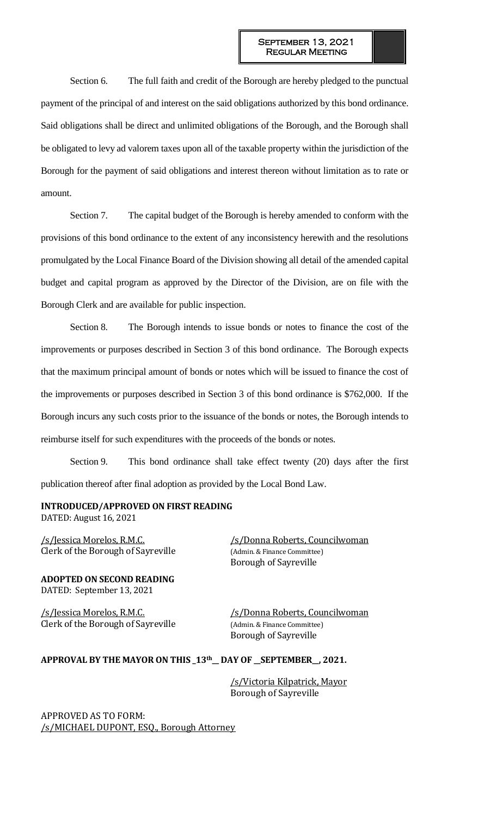Section 6. The full faith and credit of the Borough are hereby pledged to the punctual payment of the principal of and interest on the said obligations authorized by this bond ordinance. Said obligations shall be direct and unlimited obligations of the Borough, and the Borough shall be obligated to levy ad valorem taxes upon all of the taxable property within the jurisdiction of the Borough for the payment of said obligations and interest thereon without limitation as to rate or amount.

Section 7. The capital budget of the Borough is hereby amended to conform with the provisions of this bond ordinance to the extent of any inconsistency herewith and the resolutions promulgated by the Local Finance Board of the Division showing all detail of the amended capital budget and capital program as approved by the Director of the Division, are on file with the Borough Clerk and are available for public inspection.

Section 8. The Borough intends to issue bonds or notes to finance the cost of the improvements or purposes described in Section 3 of this bond ordinance. The Borough expects that the maximum principal amount of bonds or notes which will be issued to finance the cost of the improvements or purposes described in Section 3 of this bond ordinance is \$762,000. If the Borough incurs any such costs prior to the issuance of the bonds or notes, the Borough intends to reimburse itself for such expenditures with the proceeds of the bonds or notes.

Section 9. This bond ordinance shall take effect twenty (20) days after the first publication thereof after final adoption as provided by the Local Bond Law.

### **INTRODUCED/APPROVED ON FIRST READING** DATED: August 16, 2021

Clerk of the Borough of Sayreville (Admin. & Finance Committee)

**ADOPTED ON SECOND READING** DATED: September 13, 2021

Clerk of the Borough of Sayreville (Admin. & Finance Committee)

/s/Jessica Morelos, R.M.C. /s/Donna Roberts, Councilwoman Borough of Sayreville

/s/Jessica Morelos, R.M.C. /s/Donna Roberts, Councilwoman Borough of Sayreville

### **APPROVAL BY THE MAYOR ON THIS \_13th\_\_ DAY OF \_\_SEPTEMBER\_\_, 2021.**

/s/Victoria Kilpatrick, Mayor Borough of Sayreville

APPROVED AS TO FORM: /s/MICHAEL DUPONT, ESQ., Borough Attorney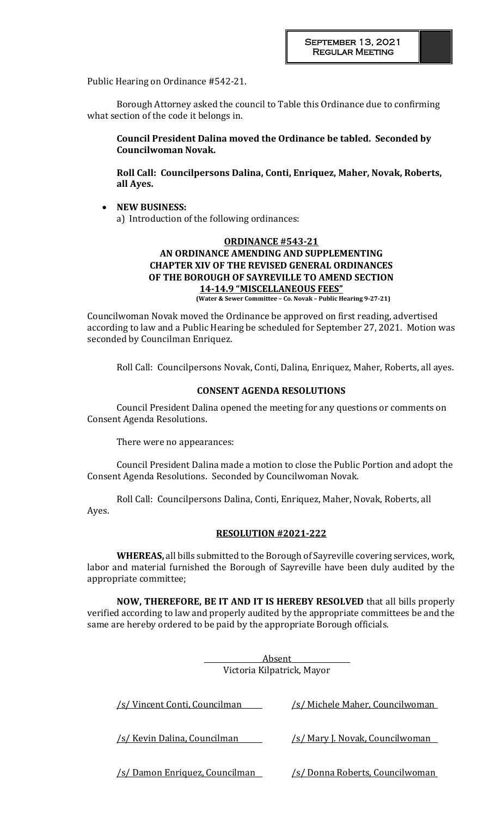Public Hearing on Ordinance #542-21.

Borough Attorney asked the council to Table this Ordinance due to confirming what section of the code it belongs in.

**Council President Dalina moved the Ordinance be tabled. Seconded by Councilwoman Novak.** 

**Roll Call: Councilpersons Dalina, Conti, Enriquez, Maher, Novak, Roberts, all Ayes.**

 **NEW BUSINESS:**  a) Introduction of the following ordinances:

# **ORDINANCE #543-21 AN ORDINANCE AMENDING AND SUPPLEMENTING CHAPTER XIV OF THE REVISED GENERAL ORDINANCES OF THE BOROUGH OF SAYREVILLE TO AMEND SECTION 14-14.9 "MISCELLANEOUS FEES"**

**(Water & Sewer Committee – Co. Novak – Public Hearing 9-27-21)**

Councilwoman Novak moved the Ordinance be approved on first reading, advertised according to law and a Public Hearing be scheduled for September 27, 2021. Motion was seconded by Councilman Enriquez.

Roll Call: Councilpersons Novak, Conti, Dalina, Enriquez, Maher, Roberts, all ayes.

## **CONSENT AGENDA RESOLUTIONS**

Council President Dalina opened the meeting for any questions or comments on Consent Agenda Resolutions.

There were no appearances:

Council President Dalina made a motion to close the Public Portion and adopt the Consent Agenda Resolutions. Seconded by Councilwoman Novak.

Roll Call: Councilpersons Dalina, Conti, Enriquez, Maher, Novak, Roberts, all Ayes.

# **RESOLUTION #2021-222**

**WHEREAS,** all bills submitted to the Borough of Sayreville covering services, work, labor and material furnished the Borough of Sayreville have been duly audited by the appropriate committee;

**NOW, THEREFORE, BE IT AND IT IS HEREBY RESOLVED** that all bills properly verified according to law and properly audited by the appropriate committees be and the same are hereby ordered to be paid by the appropriate Borough officials.

| Absent<br>Victoria Kilpatrick, Mayor |                                        |  |
|--------------------------------------|----------------------------------------|--|
| /s/ Vincent Conti, Councilman        | <u>/s/ Michele Maher, Councilwoman</u> |  |
| <u>/s/ Kevin Dalina, Councilman</u>  | /s/ Mary J. Novak, Councilwoman        |  |
| 's/ Damon Enriquez, Councilman       | <u>'s/ Donna Roberts, Councilwoman</u> |  |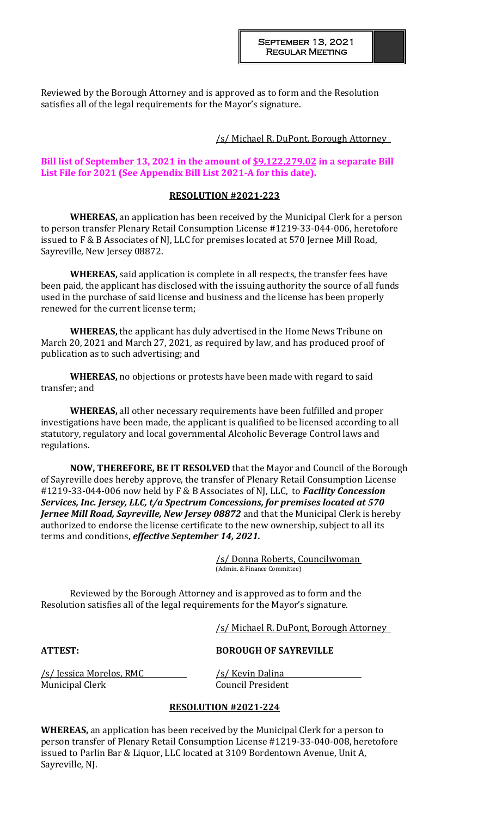Reviewed by the Borough Attorney and is approved as to form and the Resolution satisfies all of the legal requirements for the Mayor's signature.

### /s/ Michael R. DuPont, Borough Attorney

#### **Bill list of September 13, 2021 in the amount of \$9,122,279.02 in a separate Bill List File for 2021 (See Appendix Bill List 2021-A for this date).**

## **RESOLUTION #2021-223**

**WHEREAS,** an application has been received by the Municipal Clerk for a person to person transfer Plenary Retail Consumption License #1219-33-044-006, heretofore issued to F & B Associates of NJ, LLC for premises located at 570 Jernee Mill Road, Sayreville, New Jersey 08872.

**WHEREAS,** said application is complete in all respects, the transfer fees have been paid, the applicant has disclosed with the issuing authority the source of all funds used in the purchase of said license and business and the license has been properly renewed for the current license term;

**WHEREAS,** the applicant has duly advertised in the Home News Tribune on March 20, 2021 and March 27, 2021, as required by law, and has produced proof of publication as to such advertising; and

**WHEREAS,** no objections or protests have been made with regard to said transfer; and

**WHEREAS,** all other necessary requirements have been fulfilled and proper investigations have been made, the applicant is qualified to be licensed according to all statutory, regulatory and local governmental Alcoholic Beverage Control laws and regulations.

**NOW, THEREFORE, BE IT RESOLVED** that the Mayor and Council of the Borough of Sayreville does hereby approve, the transfer of Plenary Retail Consumption License #1219-33-044-006 now held by F & B Associates of NJ, LLC, to *Facility Concession Services, Inc. Jersey, LLC, t/a Spectrum Concessions, for premises located at 570 Jernee Mill Road, Sayreville, New Jersey 08872* and that the Municipal Clerk is hereby authorized to endorse the license certificate to the new ownership, subject to all its terms and conditions, *effective September 14, 2021.*

> /s/ Donna Roberts, Councilwoman (Admin. & Finance Committee)

Reviewed by the Borough Attorney and is approved as to form and the Resolution satisfies all of the legal requirements for the Mayor's signature.

/s/ Michael R. DuPont, Borough Attorney

### **ATTEST: BOROUGH OF SAYREVILLE**

/s/ Jessica Morelos, RMC /s/ Kevin Dalina Municipal Clerk Council President

## **RESOLUTION #2021-224**

**WHEREAS,** an application has been received by the Municipal Clerk for a person to person transfer of Plenary Retail Consumption License #1219-33-040-008, heretofore issued to Parlin Bar & Liquor, LLC located at 3109 Bordentown Avenue, Unit A, Sayreville, NJ.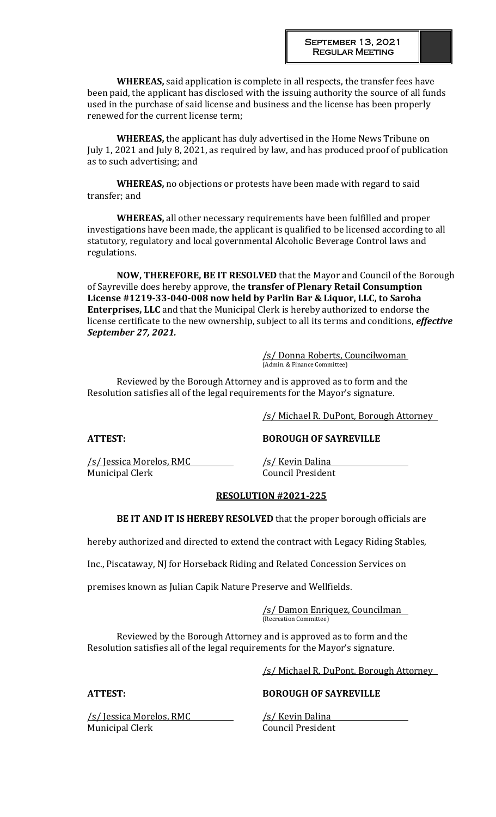**WHEREAS,** said application is complete in all respects, the transfer fees have been paid, the applicant has disclosed with the issuing authority the source of all funds used in the purchase of said license and business and the license has been properly renewed for the current license term;

**WHEREAS,** the applicant has duly advertised in the Home News Tribune on July 1, 2021 and July 8, 2021, as required by law, and has produced proof of publication as to such advertising; and

**WHEREAS,** no objections or protests have been made with regard to said transfer; and

**WHEREAS,** all other necessary requirements have been fulfilled and proper investigations have been made, the applicant is qualified to be licensed according to all statutory, regulatory and local governmental Alcoholic Beverage Control laws and regulations.

**NOW, THEREFORE, BE IT RESOLVED** that the Mayor and Council of the Borough of Sayreville does hereby approve, the **transfer of Plenary Retail Consumption License #1219-33-040-008 now held by Parlin Bar & Liquor, LLC, to Saroha Enterprises, LLC** and that the Municipal Clerk is hereby authorized to endorse the license certificate to the new ownership, subject to all its terms and conditions, *effective September 27, 2021.*

> /s/ Donna Roberts, Councilwoman (Admin. & Finance Committee)

Reviewed by the Borough Attorney and is approved as to form and the Resolution satisfies all of the legal requirements for the Mayor's signature.

/s/ Michael R. DuPont, Borough Attorney

**ATTEST: BOROUGH OF SAYREVILLE**

/s/ Jessica Morelos, RMC /s/ Kevin Dalina Municipal Clerk Council President

### **RESOLUTION #2021-225**

**BE IT AND IT IS HEREBY RESOLVED** that the proper borough officials are

hereby authorized and directed to extend the contract with Legacy Riding Stables,

Inc., Piscataway, NJ for Horseback Riding and Related Concession Services on

premises known as Julian Capik Nature Preserve and Wellfields.

/s/ Damon Enriquez, Councilman (Recreation Committee)

Reviewed by the Borough Attorney and is approved as to form and the Resolution satisfies all of the legal requirements for the Mayor's signature.

/s/ Michael R. DuPont, Borough Attorney

/s/ Jessica Morelos, RMC /s/ Kevin Dalina Municipal Clerk Council President

### **ATTEST: BOROUGH OF SAYREVILLE**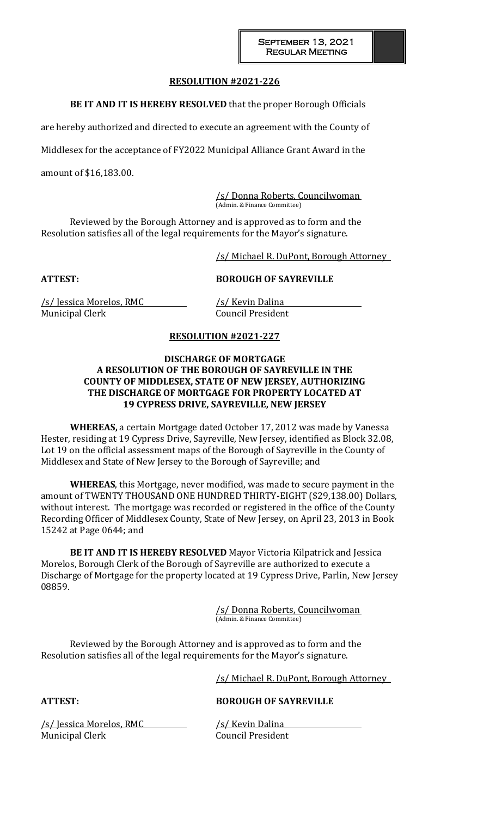### **RESOLUTION #2021-226**

**BE IT AND IT IS HEREBY RESOLVED** that the proper Borough Officials

are hereby authorized and directed to execute an agreement with the County of

Middlesex for the acceptance of FY2022 Municipal Alliance Grant Award in the

amount of \$16,183.00.

/s/ Donna Roberts, Councilwoman (Admin. & Finance Committee)

Reviewed by the Borough Attorney and is approved as to form and the Resolution satisfies all of the legal requirements for the Mayor's signature.

/s/ Michael R. DuPont, Borough Attorney

### **ATTEST: BOROUGH OF SAYREVILLE**

/s/ Jessica Morelos, RMC /s/ Kevin Dalina Municipal Clerk Council President

# **RESOLUTION #2021-227**

### **DISCHARGE OF MORTGAGE A RESOLUTION OF THE BOROUGH OF SAYREVILLE IN THE COUNTY OF MIDDLESEX, STATE OF NEW JERSEY, AUTHORIZING THE DISCHARGE OF MORTGAGE FOR PROPERTY LOCATED AT 19 CYPRESS DRIVE, SAYREVILLE, NEW JERSEY**

**WHEREAS,** a certain Mortgage dated October 17, 2012 was made by Vanessa Hester, residing at 19 Cypress Drive, Sayreville, New Jersey, identified as Block 32.08, Lot 19 on the official assessment maps of the Borough of Sayreville in the County of Middlesex and State of New Jersey to the Borough of Sayreville; and

**WHEREAS**, this Mortgage, never modified, was made to secure payment in the amount of TWENTY THOUSAND ONE HUNDRED THIRTY-EIGHT (\$29,138.00) Dollars, without interest. The mortgage was recorded or registered in the office of the County Recording Officer of Middlesex County, State of New Jersey, on April 23, 2013 in Book 15242 at Page 0644; and

**BE IT AND IT IS HEREBY RESOLVED** Mayor Victoria Kilpatrick and Jessica Morelos, Borough Clerk of the Borough of Sayreville are authorized to execute a Discharge of Mortgage for the property located at 19 Cypress Drive, Parlin, New Jersey 08859.

> /s/ Donna Roberts, Councilwoman (Admin. & Finance Committee)

Reviewed by the Borough Attorney and is approved as to form and the Resolution satisfies all of the legal requirements for the Mayor's signature.

/s/ Michael R. DuPont, Borough Attorney

**ATTEST: BOROUGH OF SAYREVILLE**

/s/ Jessica Morelos, RMC /s/ Kevin Dalina Municipal Clerk Council President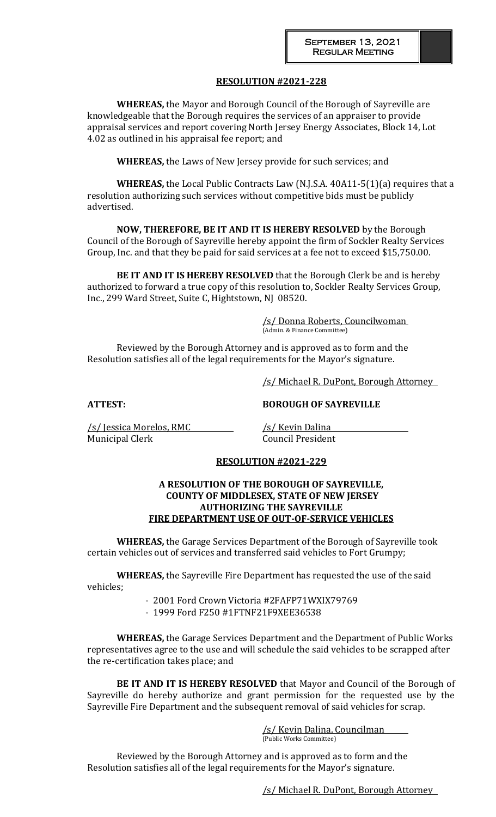# **RESOLUTION #2021-228**

**WHEREAS,** the Mayor and Borough Council of the Borough of Sayreville are knowledgeable that the Borough requires the services of an appraiser to provide appraisal services and report covering North Jersey Energy Associates, Block 14, Lot 4.02 as outlined in his appraisal fee report; and

**WHEREAS,** the Laws of New Jersey provide for such services; and

**WHEREAS,** the Local Public Contracts Law (N.J.S.A. 40A11-5(1)(a) requires that a resolution authorizing such services without competitive bids must be publicly advertised.

**NOW, THEREFORE, BE IT AND IT IS HEREBY RESOLVED** by the Borough Council of the Borough of Sayreville hereby appoint the firm of Sockler Realty Services Group, Inc. and that they be paid for said services at a fee not to exceed \$15,750.00.

**BE IT AND IT IS HEREBY RESOLVED** that the Borough Clerk be and is hereby authorized to forward a true copy of this resolution to, Sockler Realty Services Group, Inc., 299 Ward Street, Suite C, Hightstown, NJ 08520.

> /s/ Donna Roberts, Councilwoman (Admin. & Finance Committee)

Reviewed by the Borough Attorney and is approved as to form and the Resolution satisfies all of the legal requirements for the Mayor's signature.

/s/ Michael R. DuPont, Borough Attorney

**ATTEST: BOROUGH OF SAYREVILLE**

 $\sqrt{s}}$  Jessica Morelos, RMC  $\sqrt{s}$  /s/ Kevin Dalina Municipal Clerk Council President

### **RESOLUTION #2021-229**

### **A RESOLUTION OF THE BOROUGH OF SAYREVILLE, COUNTY OF MIDDLESEX, STATE OF NEW JERSEY AUTHORIZING THE SAYREVILLE FIRE DEPARTMENT USE OF OUT-OF-SERVICE VEHICLES**

**WHEREAS,** the Garage Services Department of the Borough of Sayreville took certain vehicles out of services and transferred said vehicles to Fort Grumpy;

**WHEREAS,** the Sayreville Fire Department has requested the use of the said vehicles;

- 2001 Ford Crown Victoria #2FAFP71WXIX79769

- 1999 Ford F250 #1FTNF21F9XEE36538

**WHEREAS,** the Garage Services Department and the Department of Public Works representatives agree to the use and will schedule the said vehicles to be scrapped after the re-certification takes place; and

**BE IT AND IT IS HEREBY RESOLVED** that Mayor and Council of the Borough of Sayreville do hereby authorize and grant permission for the requested use by the Sayreville Fire Department and the subsequent removal of said vehicles for scrap.

> /s/ Kevin Dalina, Councilman (Public Works Committee)

Reviewed by the Borough Attorney and is approved as to form and the Resolution satisfies all of the legal requirements for the Mayor's signature.

/s/ Michael R. DuPont, Borough Attorney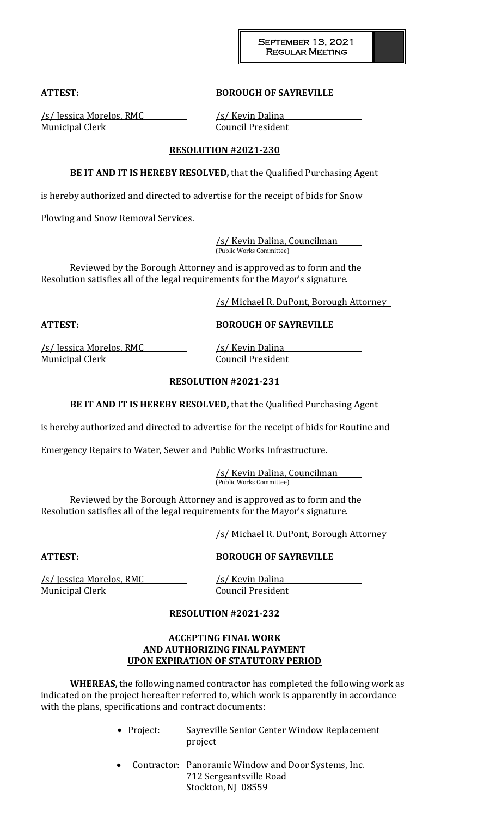### **ATTEST: BOROUGH OF SAYREVILLE**

/s/ Jessica Morelos, RMC /s/ Kevin Dalina Municipal Clerk Council President

#### **RESOLUTION #2021-230**

**BE IT AND IT IS HEREBY RESOLVED,** that the Qualified Purchasing Agent

is hereby authorized and directed to advertise for the receipt of bids for Snow

Plowing and Snow Removal Services.

/s/ Kevin Dalina, Councilman (Public Works Committee)

Reviewed by the Borough Attorney and is approved as to form and the Resolution satisfies all of the legal requirements for the Mayor's signature.

/s/ Michael R. DuPont, Borough Attorney

**ATTEST: BOROUGH OF SAYREVILLE**

/s/ Jessica Morelos, RMC /s/ Kevin Dalina Municipal Clerk Council President

## **RESOLUTION #2021-231**

**BE IT AND IT IS HEREBY RESOLVED,** that the Qualified Purchasing Agent

is hereby authorized and directed to advertise for the receipt of bids for Routine and

Emergency Repairs to Water, Sewer and Public Works Infrastructure.

/s/ Kevin Dalina, Councilman (Public Works Committee)

Reviewed by the Borough Attorney and is approved as to form and the Resolution satisfies all of the legal requirements for the Mayor's signature.

/s/ Michael R. DuPont, Borough Attorney

### **ATTEST: BOROUGH OF SAYREVILLE**

/s/ Jessica Morelos, RMC /s/ Kevin Dalina Municipal Clerk Council President

### **RESOLUTION #2021-232**

## **ACCEPTING FINAL WORK AND AUTHORIZING FINAL PAYMENT UPON EXPIRATION OF STATUTORY PERIOD**

**WHEREAS,** the following named contractor has completed the following work as indicated on the project hereafter referred to, which work is apparently in accordance with the plans, specifications and contract documents:

- Project: Sayreville Senior Center Window Replacement project
- Contractor: Panoramic Window and Door Systems, Inc. 712 Sergeantsville Road Stockton, NJ 08559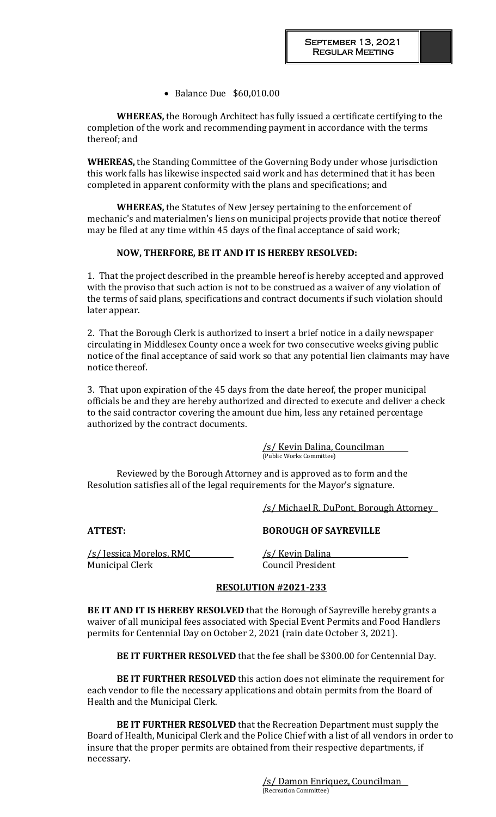• Balance Due \$60,010.00

**WHEREAS,** the Borough Architect has fully issued a certificate certifying to the completion of the work and recommending payment in accordance with the terms thereof; and

**WHEREAS,** the Standing Committee of the Governing Body under whose jurisdiction this work falls has likewise inspected said work and has determined that it has been completed in apparent conformity with the plans and specifications; and

**WHEREAS,** the Statutes of New Jersey pertaining to the enforcement of mechanic's and materialmen's liens on municipal projects provide that notice thereof may be filed at any time within 45 days of the final acceptance of said work;

## **NOW, THERFORE, BE IT AND IT IS HEREBY RESOLVED:**

1. That the project described in the preamble hereof is hereby accepted and approved with the proviso that such action is not to be construed as a waiver of any violation of the terms of said plans, specifications and contract documents if such violation should later appear.

2. That the Borough Clerk is authorized to insert a brief notice in a daily newspaper circulating in Middlesex County once a week for two consecutive weeks giving public notice of the final acceptance of said work so that any potential lien claimants may have notice thereof.

3. That upon expiration of the 45 days from the date hereof, the proper municipal officials be and they are hereby authorized and directed to execute and deliver a check to the said contractor covering the amount due him, less any retained percentage authorized by the contract documents.

> /s/ Kevin Dalina, Councilman (Public Works Committee)

Reviewed by the Borough Attorney and is approved as to form and the Resolution satisfies all of the legal requirements for the Mayor's signature.

/s/ Michael R. DuPont, Borough Attorney

/s/ Jessica Morelos, RMC /s/ Kevin Dalina Municipal Clerk Council President

**ATTEST: BOROUGH OF SAYREVILLE**

### **RESOLUTION #2021-233**

**BE IT AND IT IS HEREBY RESOLVED** that the Borough of Sayreville hereby grants a waiver of all municipal fees associated with Special Event Permits and Food Handlers permits for Centennial Day on October 2, 2021 (rain date October 3, 2021).

**BE IT FURTHER RESOLVED** that the fee shall be \$300.00 for Centennial Day.

**BE IT FURTHER RESOLVED** this action does not eliminate the requirement for each vendor to file the necessary applications and obtain permits from the Board of Health and the Municipal Clerk.

**BE IT FURTHER RESOLVED** that the Recreation Department must supply the Board of Health, Municipal Clerk and the Police Chief with a list of all vendors in order to insure that the proper permits are obtained from their respective departments, if necessary.

> /s/ Damon Enriquez, Councilman (Recreation Committee)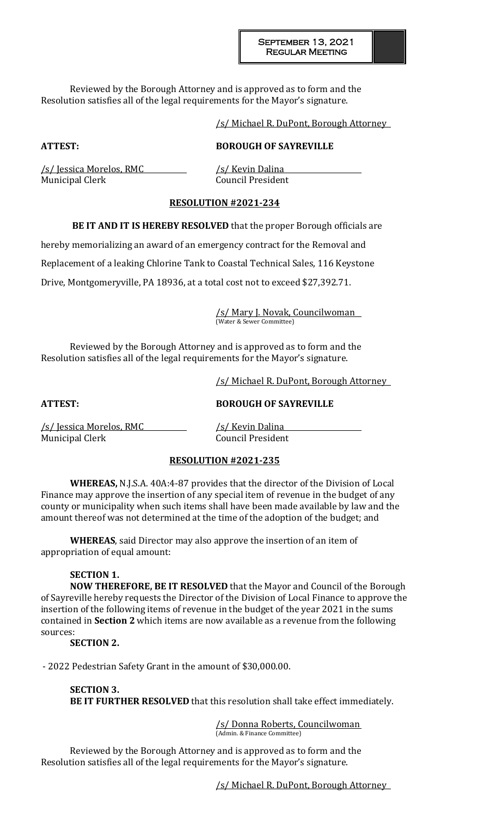Reviewed by the Borough Attorney and is approved as to form and the Resolution satisfies all of the legal requirements for the Mayor's signature.

/s/ Michael R. DuPont, Borough Attorney

# **ATTEST: BOROUGH OF SAYREVILLE**

/s/ Jessica Morelos, RMC /s/ Kevin Dalina Municipal Clerk Council President

## **RESOLUTION #2021-234**

**BE IT AND IT IS HEREBY RESOLVED** that the proper Borough officials are

hereby memorializing an award of an emergency contract for the Removal and

Replacement of a leaking Chlorine Tank to Coastal Technical Sales, 116 Keystone

Drive, Montgomeryville, PA 18936, at a total cost not to exceed \$27,392.71.

/s/ Mary J. Novak, Councilwoman (Water & Sewer Committee)

Reviewed by the Borough Attorney and is approved as to form and the Resolution satisfies all of the legal requirements for the Mayor's signature.

/s/ Michael R. DuPont, Borough Attorney

**ATTEST: BOROUGH OF SAYREVILLE**

/s/ Jessica Morelos, RMC /s/ Kevin Dalina Municipal Clerk Council President

# **RESOLUTION #2021-235**

**WHEREAS,** N.J.S.A. 40A:4-87 provides that the director of the Division of Local Finance may approve the insertion of any special item of revenue in the budget of any county or municipality when such items shall have been made available by law and the amount thereof was not determined at the time of the adoption of the budget; and

**WHEREAS**, said Director may also approve the insertion of an item of appropriation of equal amount:

# **SECTION 1.**

**NOW THEREFORE, BE IT RESOLVED** that the Mayor and Council of the Borough of Sayreville hereby requests the Director of the Division of Local Finance to approve the insertion of the following items of revenue in the budget of the year 2021 in the sums contained in **Section 2** which items are now available as a revenue from the following sources:

**SECTION 2.**

- 2022 Pedestrian Safety Grant in the amount of \$30,000.00.

**SECTION 3. BE IT FURTHER RESOLVED** that this resolution shall take effect immediately.

> /s/ Donna Roberts, Councilwoman (Admin. & Finance Committee)

Reviewed by the Borough Attorney and is approved as to form and the Resolution satisfies all of the legal requirements for the Mayor's signature.

/s/ Michael R. DuPont, Borough Attorney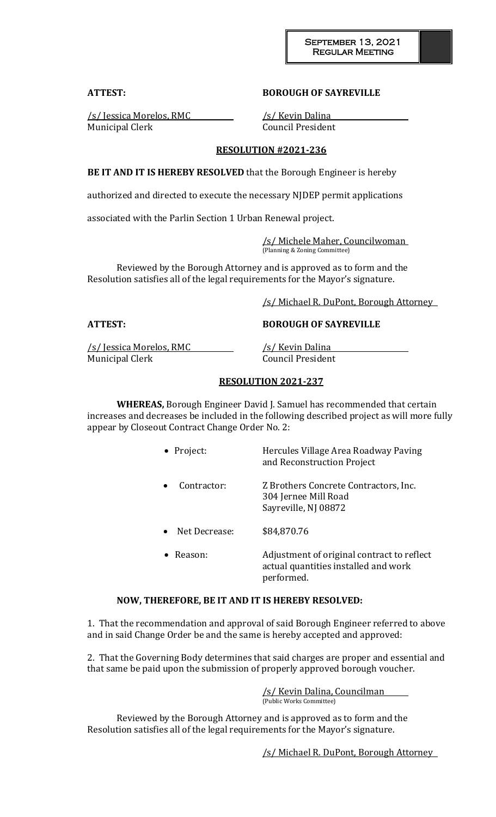### **ATTEST: BOROUGH OF SAYREVILLE**

/s/ Jessica Morelos, RMC /s/ Kevin Dalina Municipal Clerk Council President

### **RESOLUTION #2021-236**

**BE IT AND IT IS HEREBY RESOLVED** that the Borough Engineer is hereby

authorized and directed to execute the necessary NJDEP permit applications

associated with the Parlin Section 1 Urban Renewal project.

/s/ Michele Maher, Councilwoman (Planning & Zoning Committee)

Reviewed by the Borough Attorney and is approved as to form and the Resolution satisfies all of the legal requirements for the Mayor's signature.

/s/ Michael R. DuPont, Borough Attorney

**ATTEST: BOROUGH OF SAYREVILLE**

/s/ Jessica Morelos, RMC /s/ Kevin Dalina Municipal Clerk Council President

## **RESOLUTION 2021-237**

**WHEREAS,** Borough Engineer David J. Samuel has recommended that certain increases and decreases be included in the following described project as will more fully appear by Closeout Contract Change Order No. 2:

 Project: Hercules Village Area Roadway Paving and Reconstruction Project

- Contractor: Z Brothers Concrete Contractors, Inc. 304 Jernee Mill Road Sayreville, NJ 08872
- Net Decrease: \$84,870.76
- Reason: Adjustment of original contract to reflect actual quantities installed and work performed.

### **NOW, THEREFORE, BE IT AND IT IS HEREBY RESOLVED:**

1. That the recommendation and approval of said Borough Engineer referred to above and in said Change Order be and the same is hereby accepted and approved:

2. That the Governing Body determines that said charges are proper and essential and that same be paid upon the submission of properly approved borough voucher.

> /s/ Kevin Dalina, Councilman (Public Works Committee)

Reviewed by the Borough Attorney and is approved as to form and the Resolution satisfies all of the legal requirements for the Mayor's signature.

/s/ Michael R. DuPont, Borough Attorney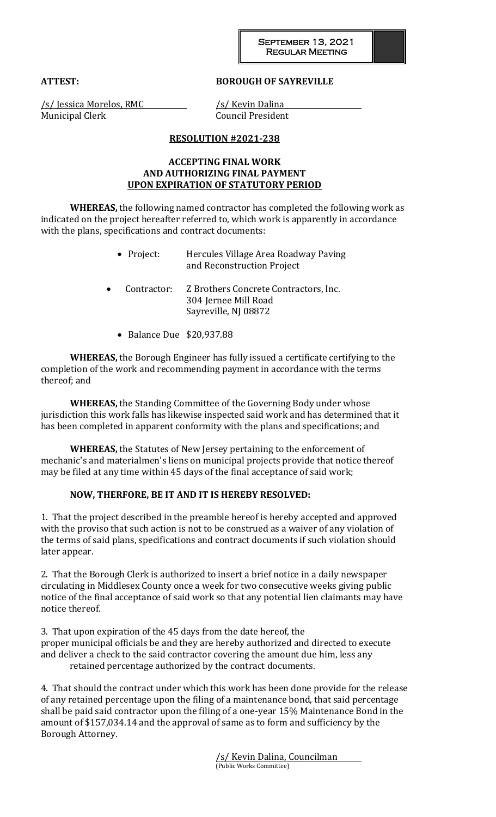### **ATTEST: BOROUGH OF SAYREVILLE**

/s/ Jessica Morelos, RMC /s/ Kevin Dalina Municipal Clerk Council President

## **RESOLUTION #2021-238**

## **ACCEPTING FINAL WORK AND AUTHORIZING FINAL PAYMENT UPON EXPIRATION OF STATUTORY PERIOD**

**WHEREAS,** the following named contractor has completed the following work as indicated on the project hereafter referred to, which work is apparently in accordance with the plans, specifications and contract documents:

| $\bullet$ Project: | Hercules Village Area Roadway Paving |
|--------------------|--------------------------------------|
|                    | and Reconstruction Project           |

- Contractor: Z Brothers Concrete Contractors, Inc. 304 Jernee Mill Road Sayreville, NJ 08872
	- Balance Due \$20,937.88

**WHEREAS,** the Borough Engineer has fully issued a certificate certifying to the completion of the work and recommending payment in accordance with the terms thereof; and

**WHEREAS,** the Standing Committee of the Governing Body under whose jurisdiction this work falls has likewise inspected said work and has determined that it has been completed in apparent conformity with the plans and specifications; and

**WHEREAS,** the Statutes of New Jersey pertaining to the enforcement of mechanic's and materialmen's liens on municipal projects provide that notice thereof may be filed at any time within 45 days of the final acceptance of said work;

# **NOW, THERFORE, BE IT AND IT IS HEREBY RESOLVED:**

1. That the project described in the preamble hereof is hereby accepted and approved with the proviso that such action is not to be construed as a waiver of any violation of the terms of said plans, specifications and contract documents if such violation should later appear.

2. That the Borough Clerk is authorized to insert a brief notice in a daily newspaper circulating in Middlesex County once a week for two consecutive weeks giving public notice of the final acceptance of said work so that any potential lien claimants may have notice thereof.

3. That upon expiration of the 45 days from the date hereof, the proper municipal officials be and they are hereby authorized and directed to execute and deliver a check to the said contractor covering the amount due him, less any retained percentage authorized by the contract documents.

4. That should the contract under which this work has been done provide for the release of any retained percentage upon the filing of a maintenance bond, that said percentage shall be paid said contractor upon the filing of a one-year 15% Maintenance Bond in the amount of \$157,034.14 and the approval of same as to form and sufficiency by the Borough Attorney.

> /s/ Kevin Dalina, Councilman (Public Works Committee)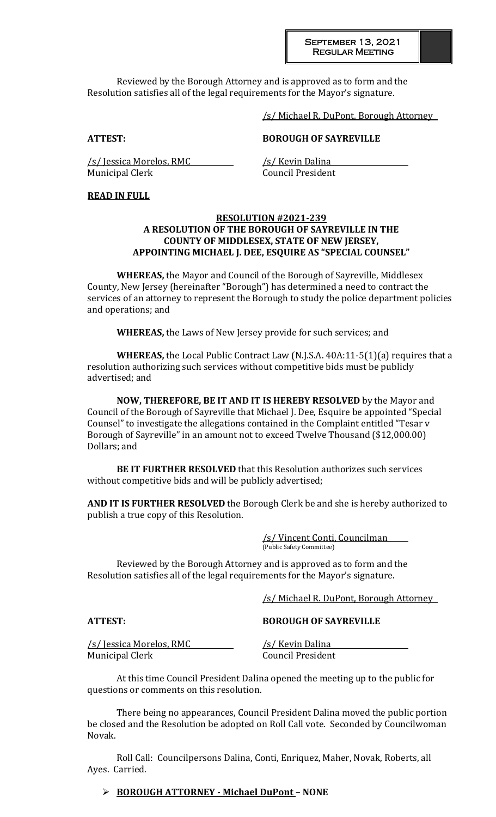Reviewed by the Borough Attorney and is approved as to form and the Resolution satisfies all of the legal requirements for the Mayor's signature.

/s/ Michael R. DuPont, Borough Attorney

### **ATTEST: BOROUGH OF SAYREVILLE**

/s/ Jessica Morelos, RMC /s/ Kevin Dalina Municipal Clerk Council President

## **READ IN FULL**

#### **RESOLUTION #2021-239 A RESOLUTION OF THE BOROUGH OF SAYREVILLE IN THE COUNTY OF MIDDLESEX, STATE OF NEW JERSEY, APPOINTING MICHAEL J. DEE, ESQUIRE AS "SPECIAL COUNSEL"**

**WHEREAS,** the Mayor and Council of the Borough of Sayreville, Middlesex County, New Jersey (hereinafter "Borough") has determined a need to contract the services of an attorney to represent the Borough to study the police department policies and operations; and

**WHEREAS,** the Laws of New Jersey provide for such services; and

**WHEREAS,** the Local Public Contract Law (N.J.S.A. 40A:11-5(1)(a) requires that a resolution authorizing such services without competitive bids must be publicly advertised; and

**NOW, THEREFORE, BE IT AND IT IS HEREBY RESOLVED** by the Mayor and Council of the Borough of Sayreville that Michael J. Dee, Esquire be appointed "Special Counsel" to investigate the allegations contained in the Complaint entitled "Tesar v Borough of Sayreville" in an amount not to exceed Twelve Thousand (\$12,000.00) Dollars; and

**BE IT FURTHER RESOLVED** that this Resolution authorizes such services without competitive bids and will be publicly advertised;

**AND IT IS FURTHER RESOLVED** the Borough Clerk be and she is hereby authorized to publish a true copy of this Resolution.

> /s/ Vincent Conti, Councilman (Public Safety Committee)

Reviewed by the Borough Attorney and is approved as to form and the Resolution satisfies all of the legal requirements for the Mayor's signature.

/s/ Michael R. DuPont, Borough Attorney

**ATTEST: BOROUGH OF SAYREVILLE**

/s/ Jessica Morelos, RMC /s/ Kevin Dalina Municipal Clerk Council President

At this time Council President Dalina opened the meeting up to the public for questions or comments on this resolution.

There being no appearances, Council President Dalina moved the public portion be closed and the Resolution be adopted on Roll Call vote. Seconded by Councilwoman Novak.

Roll Call: Councilpersons Dalina, Conti, Enriquez, Maher, Novak, Roberts, all Ayes. Carried.

### **BOROUGH ATTORNEY - Michael DuPont – NONE**